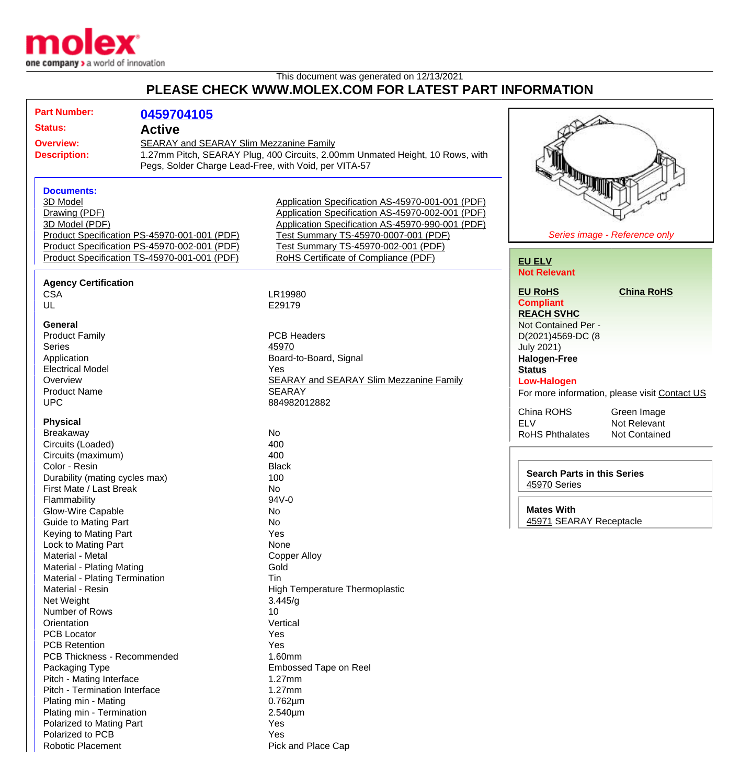

## This document was generated on 12/13/2021 **PLEASE CHECK WWW.MOLEX.COM FOR LATEST PART INFORMATION**

|                                                       | <b>Part Number:</b>                                         |                                              |                                                                               |                                                    |                                               |
|-------------------------------------------------------|-------------------------------------------------------------|----------------------------------------------|-------------------------------------------------------------------------------|----------------------------------------------------|-----------------------------------------------|
|                                                       |                                                             | 0459704105                                   |                                                                               |                                                    |                                               |
| <b>Status:</b>                                        |                                                             | <b>Active</b>                                |                                                                               |                                                    |                                               |
| <b>Overview:</b>                                      |                                                             |                                              | SEARAY and SEARAY Slim Mezzanine Family                                       |                                                    |                                               |
|                                                       | <b>Description:</b>                                         |                                              | 1.27mm Pitch, SEARAY Plug, 400 Circuits, 2.00mm Unmated Height, 10 Rows, with |                                                    |                                               |
| Pegs, Solder Charge Lead-Free, with Void, per VITA-57 |                                                             |                                              |                                                                               |                                                    |                                               |
|                                                       |                                                             |                                              |                                                                               | <b>AND REAL PROPERTY</b>                           |                                               |
|                                                       | <b>Documents:</b>                                           |                                              |                                                                               |                                                    |                                               |
|                                                       | 3D Model                                                    |                                              | Application Specification AS-45970-001-001 (PDF)                              |                                                    |                                               |
|                                                       | Drawing (PDF)                                               |                                              | Application Specification AS-45970-002-001 (PDF)                              |                                                    |                                               |
|                                                       | 3D Model (PDF)                                              |                                              | Application Specification AS-45970-990-001 (PDF)                              |                                                    |                                               |
|                                                       |                                                             | Product Specification PS-45970-001-001 (PDF) | Test Summary TS-45970-0007-001 (PDF)                                          |                                                    | Series image - Reference only                 |
|                                                       |                                                             | Product Specification PS-45970-002-001 (PDF) | Test Summary TS-45970-002-001 (PDF)                                           |                                                    |                                               |
|                                                       |                                                             | Product Specification TS-45970-001-001 (PDF) | RoHS Certificate of Compliance (PDF)                                          | <b>EU ELV</b>                                      |                                               |
|                                                       |                                                             |                                              |                                                                               | <b>Not Relevant</b>                                |                                               |
|                                                       | <b>Agency Certification</b>                                 |                                              |                                                                               |                                                    |                                               |
|                                                       | <b>CSA</b>                                                  |                                              | LR19980                                                                       | <b>EU RoHS</b>                                     | <b>China RoHS</b>                             |
|                                                       | UL                                                          |                                              | E29179                                                                        | <b>Compliant</b>                                   |                                               |
|                                                       |                                                             |                                              |                                                                               | <b>REACH SVHC</b>                                  |                                               |
|                                                       | General                                                     |                                              |                                                                               | Not Contained Per -                                |                                               |
|                                                       | <b>Product Family</b>                                       |                                              | <b>PCB Headers</b>                                                            | D(2021)4569-DC (8                                  |                                               |
|                                                       | <b>Series</b>                                               |                                              | 45970                                                                         | <b>July 2021)</b>                                  |                                               |
|                                                       | Application<br><b>Electrical Model</b><br>Overview          |                                              | Board-to-Board, Signal                                                        | <b>Halogen-Free</b>                                |                                               |
|                                                       |                                                             |                                              | Yes                                                                           | <b>Status</b>                                      |                                               |
|                                                       |                                                             |                                              | <b>SEARAY and SEARAY Slim Mezzanine Family</b>                                | <b>Low-Halogen</b>                                 |                                               |
|                                                       | <b>Product Name</b>                                         |                                              | <b>SEARAY</b>                                                                 |                                                    | For more information, please visit Contact US |
|                                                       | <b>UPC</b>                                                  |                                              | 884982012882                                                                  |                                                    |                                               |
|                                                       |                                                             |                                              |                                                                               | China ROHS                                         | Green Image                                   |
|                                                       | <b>Physical</b>                                             |                                              |                                                                               | <b>ELV</b>                                         | Not Relevant                                  |
|                                                       | Breakaway                                                   |                                              | No                                                                            | <b>RoHS Phthalates</b>                             | Not Contained                                 |
|                                                       | Circuits (Loaded)                                           |                                              | 400                                                                           |                                                    |                                               |
|                                                       | Circuits (maximum)                                          |                                              | 400                                                                           |                                                    |                                               |
|                                                       | Color - Resin<br>Durability (mating cycles max)             |                                              | <b>Black</b>                                                                  | <b>Search Parts in this Series</b><br>45970 Series |                                               |
|                                                       |                                                             |                                              | 100                                                                           |                                                    |                                               |
|                                                       | First Mate / Last Break                                     |                                              | No                                                                            |                                                    |                                               |
|                                                       | Flammability                                                |                                              | 94V-0                                                                         |                                                    |                                               |
|                                                       | Glow-Wire Capable                                           |                                              | No                                                                            | <b>Mates With</b>                                  |                                               |
|                                                       | Guide to Mating Part                                        |                                              | No                                                                            | 45971 SEARAY Receptacle                            |                                               |
|                                                       | Keying to Mating Part                                       |                                              | Yes                                                                           |                                                    |                                               |
|                                                       | Lock to Mating Part                                         |                                              | None                                                                          |                                                    |                                               |
|                                                       | Material - Metal                                            |                                              | <b>Copper Alloy</b>                                                           |                                                    |                                               |
|                                                       | Material - Plating Mating<br>Material - Plating Termination |                                              | Gold                                                                          |                                                    |                                               |
|                                                       |                                                             |                                              | Tin                                                                           |                                                    |                                               |
|                                                       | Material - Resin                                            |                                              | <b>High Temperature Thermoplastic</b>                                         |                                                    |                                               |
|                                                       | Net Weight                                                  |                                              | 3.445/g                                                                       |                                                    |                                               |
|                                                       | Number of Rows                                              |                                              | 10                                                                            |                                                    |                                               |
|                                                       | Orientation                                                 |                                              | Vertical                                                                      |                                                    |                                               |
|                                                       | <b>PCB Locator</b>                                          |                                              | Yes                                                                           |                                                    |                                               |
|                                                       | <b>PCB Retention</b>                                        |                                              | Yes                                                                           |                                                    |                                               |
|                                                       | <b>PCB Thickness - Recommended</b>                          |                                              | 1.60mm                                                                        |                                                    |                                               |
|                                                       | Packaging Type                                              |                                              | Embossed Tape on Reel                                                         |                                                    |                                               |
|                                                       | Pitch - Mating Interface                                    |                                              | $1.27$ mm                                                                     |                                                    |                                               |
|                                                       | Pitch - Termination Interface                               |                                              | 1.27mm                                                                        |                                                    |                                               |
|                                                       | Plating min - Mating                                        |                                              | $0.762 \mu m$                                                                 |                                                    |                                               |
|                                                       | Plating min - Termination                                   |                                              | 2.540µm                                                                       |                                                    |                                               |
|                                                       | Polarized to Mating Part                                    |                                              | Yes                                                                           |                                                    |                                               |
|                                                       | Polarized to PCB                                            |                                              | Yes                                                                           |                                                    |                                               |
|                                                       | <b>Robotic Placement</b>                                    |                                              | Pick and Place Cap                                                            |                                                    |                                               |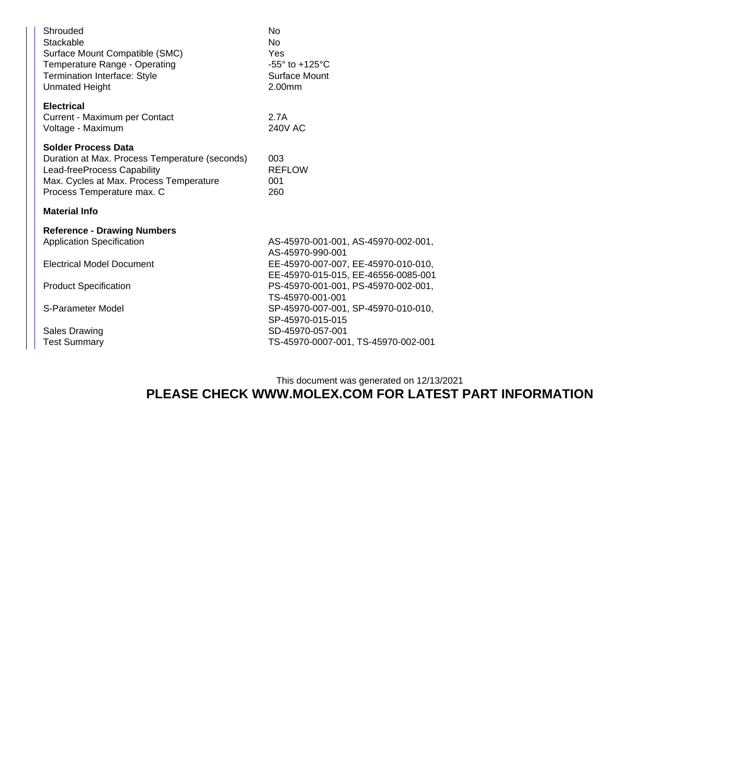| Shrouded<br>Stackable<br>Surface Mount Compatible (SMC)<br>Temperature Range - Operating<br>Termination Interface: Style<br><b>Unmated Height</b>                                    | No<br>No<br>Yes<br>$-55^\circ$ to $+125^\circ$ C<br>Surface Mount<br>2.00mm                    |  |  |  |
|--------------------------------------------------------------------------------------------------------------------------------------------------------------------------------------|------------------------------------------------------------------------------------------------|--|--|--|
| <b>Electrical</b><br>Current - Maximum per Contact<br>Voltage - Maximum                                                                                                              | 2.7A<br>240V AC                                                                                |  |  |  |
| <b>Solder Process Data</b><br>Duration at Max. Process Temperature (seconds)<br>Lead-freeProcess Capability<br>Max. Cycles at Max. Process Temperature<br>Process Temperature max. C | 003<br><b>REFLOW</b><br>001<br>260                                                             |  |  |  |
| <b>Material Info</b>                                                                                                                                                                 |                                                                                                |  |  |  |
| <b>Reference - Drawing Numbers</b><br><b>Application Specification</b>                                                                                                               | AS-45970-001-001, AS-45970-002-001,<br>AS-45970-990-001                                        |  |  |  |
| <b>Electrical Model Document</b>                                                                                                                                                     | EE-45970-007-007, EE-45970-010-010,                                                            |  |  |  |
| <b>Product Specification</b>                                                                                                                                                         | EE-45970-015-015, EE-46556-0085-001<br>PS-45970-001-001, PS-45970-002-001,<br>TS-45970-001-001 |  |  |  |
| S-Parameter Model                                                                                                                                                                    | SP-45970-007-001, SP-45970-010-010,<br>SP-45970-015-015                                        |  |  |  |
| <b>Sales Drawing</b><br><b>Test Summary</b>                                                                                                                                          | SD-45970-057-001<br>TS-45970-0007-001, TS-45970-002-001                                        |  |  |  |

## This document was generated on 12/13/2021 **PLEASE CHECK WWW.MOLEX.COM FOR LATEST PART INFORMATION**